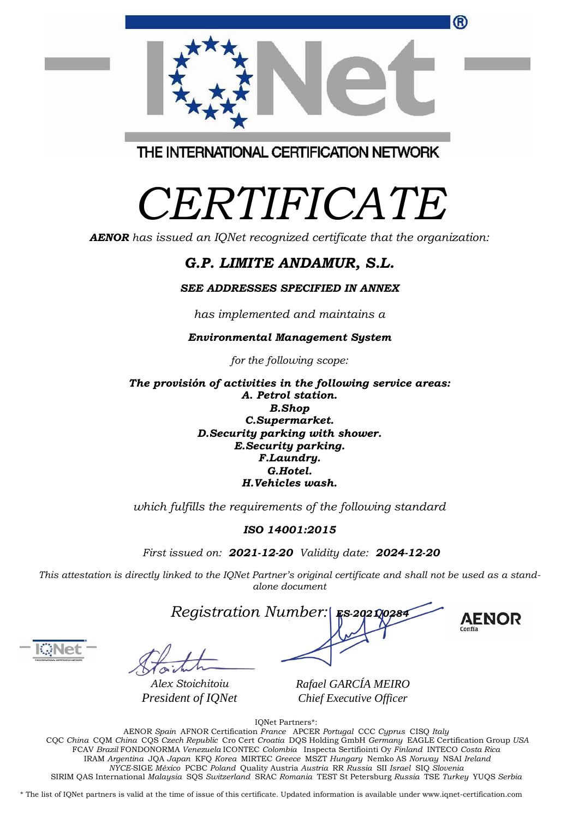| CQC China CQM China CQS Czech Republic Cro Cert Croatia DQS Holding GmbH Germany EAGLE Certification Group USA                                     |  |  |
|----------------------------------------------------------------------------------------------------------------------------------------------------|--|--|
| FCAV Brazil FONDONORMA Venezuela ICONTEC Colombia Inspecta Sertifiointi Oy Finland INTECO Costa Rica                                               |  |  |
| IRAM Argentina JQA Japan KFQ Korea MIRTEC Greece MSZT Hungary Nemko AS Norway NSAI Ireland                                                         |  |  |
| NYCE-SIGE México PCBC Poland Quality Austria Austria RR Russia SII Israel SIO Slovenia                                                             |  |  |
| SIRIM OAS International Malaysia SOS Switzerland SRAC Romania TEST St Petersburg Russia TSE Turkey YUOS Serbia                                     |  |  |
|                                                                                                                                                    |  |  |
| * The list of IQNet partners is valid at the time of issue of this certificate. Updated information is available under www.iqnet-certification.com |  |  |
|                                                                                                                                                    |  |  |



*Alex Stoichitoiu President of IQNet*

*Registration Number: ES-2021/0284*

*Rafael GARCÍA MEIRO Chief Executive Officer*

## *alone document*



| Registration Number:  Es 2921,028 |  |
|-----------------------------------|--|

IQNet Partners\*: AENOR *Spain* AFNOR Certification *France* APCER *Portugal* CCC *Cyprus* CISQ *Italy*

#### *for the following scope: A. Petrol station. B.Shop C.Supermarket. D.Security parking with shower. E.Security parking. F.Laundry. G.Hotel.*

*Environmental Management System*

*The provisión of activities in the following service areas: H.Vehicles wash.*

*which fulfills the requirements of the following standard*

*ISO 14001:2015*

*First issued on: 2021-12-20 Validity date: 2024-12-20*

This attestation is directly linked to the IQNet Partner's original certificate and shall not be used as a stand-

### *G.P. LIMITE ANDAMUR, S.L.*

# *CERTIFICATE*

THE INTERNATIONAL CERTIFICATION NETWORK

*AENOR has issued an IQNet recognized certificate that the organization:*

*SEE ADDRESSES SPECIFIED IN ANNEX*

*has implemented and maintains a*

®